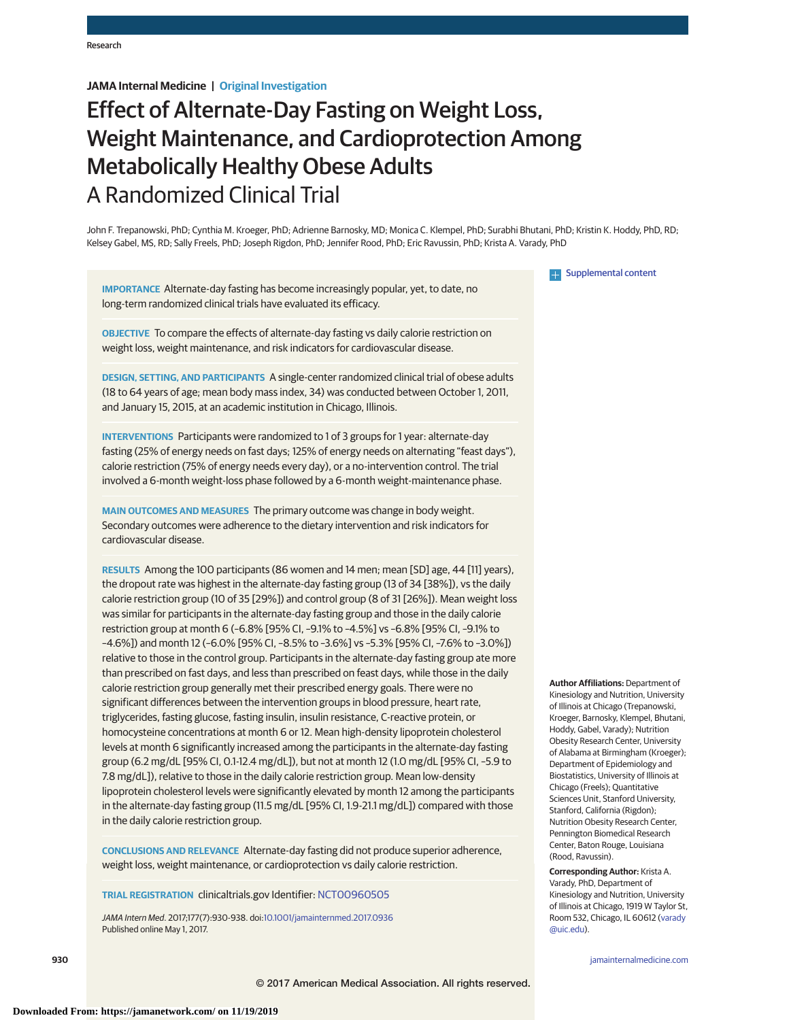# **JAMA Internal Medicine | Original Investigation**

# Effect of Alternate-Day Fasting on Weight Loss, Weight Maintenance, and Cardioprotection Among Metabolically Healthy Obese Adults A Randomized Clinical Trial

John F. Trepanowski, PhD; Cynthia M. Kroeger, PhD; Adrienne Barnosky, MD; Monica C. Klempel, PhD; Surabhi Bhutani, PhD; Kristin K. Hoddy, PhD, RD; Kelsey Gabel, MS, RD; Sally Freels, PhD; Joseph Rigdon, PhD; Jennifer Rood, PhD; Eric Ravussin, PhD; Krista A. Varady, PhD

**IMPORTANCE** Alternate-day fasting has become increasingly popular, yet, to date, no long-term randomized clinical trials have evaluated its efficacy.

**OBJECTIVE** To compare the effects of alternate-day fasting vs daily calorie restriction on weight loss, weight maintenance, and risk indicators for cardiovascular disease.

**DESIGN, SETTING, AND PARTICIPANTS** A single-center randomized clinical trial of obese adults (18 to 64 years of age; mean body mass index, 34) was conducted between October 1, 2011, and January 15, 2015, at an academic institution in Chicago, Illinois.

**INTERVENTIONS** Participants were randomized to 1 of 3 groups for 1 year: alternate-day fasting (25% of energy needs on fast days; 125% of energy needs on alternating "feast days"), calorie restriction (75% of energy needs every day), or a no-intervention control. The trial involved a 6-month weight-loss phase followed by a 6-month weight-maintenance phase.

**MAIN OUTCOMES AND MEASURES** The primary outcome was change in body weight. Secondary outcomes were adherence to the dietary intervention and risk indicators for cardiovascular disease.

**RESULTS** Among the 100 participants (86 women and 14 men; mean [SD] age, 44 [11] years), the dropout rate was highest in the alternate-day fasting group (13 of 34 [38%]), vs the daily calorie restriction group (10 of 35 [29%]) and control group (8 of 31 [26%]). Mean weight loss was similar for participants in the alternate-day fasting group and those in the daily calorie restriction group at month 6 (–6.8% [95% CI, –9.1% to –4.5%] vs –6.8% [95% CI, –9.1% to –4.6%]) and month 12 (–6.0% [95% CI, –8.5% to –3.6%] vs –5.3% [95% CI, –7.6% to –3.0%]) relative to those in the control group. Participants in the alternate-day fasting group ate more than prescribed on fast days, and less than prescribed on feast days, while those in the daily calorie restriction group generally met their prescribed energy goals. There were no significant differences between the intervention groups in blood pressure, heart rate, triglycerides, fasting glucose, fasting insulin, insulin resistance, C-reactive protein, or homocysteine concentrations at month 6 or 12. Mean high-density lipoprotein cholesterol levels at month 6 significantly increased among the participants in the alternate-day fasting group (6.2 mg/dL [95% CI, 0.1-12.4 mg/dL]), but not at month 12 (1.0 mg/dL [95% CI, –5.9 to 7.8 mg/dL]), relative to those in the daily calorie restriction group. Mean low-density lipoprotein cholesterol levels were significantly elevated by month 12 among the participants in the alternate-day fasting group (11.5 mg/dL [95% CI, 1.9-21.1 mg/dL]) compared with those in the daily calorie restriction group.

**CONCLUSIONS AND RELEVANCE** Alternate-day fasting did not produce superior adherence, weight loss, weight maintenance, or cardioprotection vs daily calorie restriction.

**TRIAL REGISTRATION** clinicaltrials.gov Identifier: [NCT00960505](http://clinicaltrials.gov/show/NCT00960505)

JAMA Intern Med. 2017;177(7):930-938. doi[:10.1001/jamainternmed.2017.0936](http://jama.jamanetwork.com/article.aspx?doi=10.1001/jamainternmed.2017.0936&utm_campaign=articlePDF%26utm_medium=articlePDFlink%26utm_source=articlePDF%26utm_content=jamainternmed.2017.0936) Published online May 1, 2017.

**Examplemental content** 

**Author Affiliations:** Department of Kinesiology and Nutrition, University of Illinois at Chicago (Trepanowski, Kroeger, Barnosky, Klempel, Bhutani, Hoddy, Gabel, Varady); Nutrition Obesity Research Center, University of Alabama at Birmingham (Kroeger); Department of Epidemiology and Biostatistics, University of Illinois at Chicago (Freels); Quantitative Sciences Unit, Stanford University, Stanford, California (Rigdon); Nutrition Obesity Research Center, Pennington Biomedical Research Center, Baton Rouge, Louisiana (Rood, Ravussin).

**Corresponding Author:** Krista A. Varady, PhD, Department of Kinesiology and Nutrition, University of Illinois at Chicago, 1919 W Taylor St, Room 532, Chicago, IL 60612 [\(varady](mailto:varady@uic.edu) [@uic.edu\)](mailto:varady@uic.edu).

**930 (Reprinted)** [jamainternalmedicine.com](http://www.jamainternalmedicine.com/?utm_campaign=articlePDF%26utm_medium=articlePDFlink%26utm_source=articlePDF%26utm_content=jamainternmed.2017.0936)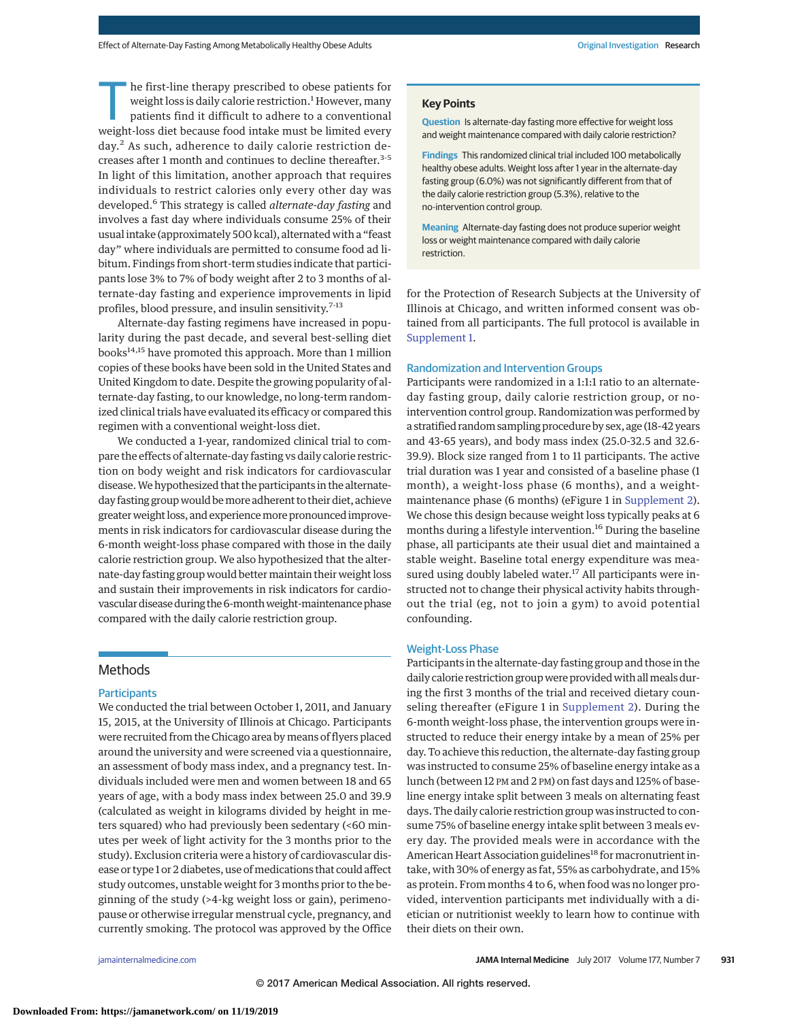he first-line therapy prescribed to obese patients for weight loss is daily calorie restriction.<sup>1</sup> However, many patients find it difficult to adhere to a conventional weight-loss diet because food intake must be limited every day.<sup>2</sup> As such, adherence to daily calorie restriction decreases after 1 month and continues to decline thereafter.3-5 In light of this limitation, another approach that requires individuals to restrict calories only every other day was developed.<sup>6</sup> This strategy is called *alternate-day fasting* and involves a fast day where individuals consume 25% of their usual intake (approximately 500 kcal), alternated with a "feast day" where individuals are permitted to consume food ad libitum. Findings from short-term studies indicate that participants lose 3% to 7% of body weight after 2 to 3 months of alternate-day fasting and experience improvements in lipid profiles, blood pressure, and insulin sensitivity.7-13

Alternate-day fasting regimens have increased in popularity during the past decade, and several best-selling diet books<sup>14,15</sup> have promoted this approach. More than 1 million copies of these books have been sold in the United States and United Kingdom to date. Despite the growing popularity of alternate-day fasting, to our knowledge, no long-term randomized clinical trials have evaluated its efficacy or compared this regimen with a conventional weight-loss diet.

We conducted a 1-year, randomized clinical trial to compare the effects of alternate-day fasting vs daily calorie restriction on body weight and risk indicators for cardiovascular disease.We hypothesized that the participants in the alternateday fasting group would bemore adherent to their diet, achieve greaterweight loss, and experiencemore pronounced improvements in risk indicators for cardiovascular disease during the 6-month weight-loss phase compared with those in the daily calorie restriction group. We also hypothesized that the alternate-day fasting group would better maintain their weight loss and sustain their improvements in risk indicators for cardiovascular disease during the 6-monthweight-maintenance phase compared with the daily calorie restriction group.

# Methods

## **Participants**

We conducted the trial between October 1, 2011, and January 15, 2015, at the University of Illinois at Chicago. Participants were recruited from the Chicago area bymeans of flyers placed around the university and were screened via a questionnaire, an assessment of body mass index, and a pregnancy test. Individuals included were men and women between 18 and 65 years of age, with a body mass index between 25.0 and 39.9 (calculated as weight in kilograms divided by height in meters squared) who had previously been sedentary (<60 minutes per week of light activity for the 3 months prior to the study). Exclusion criteria were a history of cardiovascular disease or type 1 or 2 diabetes, use of medications that could affect study outcomes, unstable weight for 3 months prior to the beginning of the study (>4-kg weight loss or gain), perimenopause or otherwise irregular menstrual cycle, pregnancy, and currently smoking. The protocol was approved by the Office

#### **Key Points**

**Question** Is alternate-day fasting more effective for weight loss and weight maintenance compared with daily calorie restriction?

**Findings** This randomized clinical trial included 100 metabolically healthy obese adults. Weight loss after 1 year in the alternate-day fasting group (6.0%) was not significantly different from that of the daily calorie restriction group (5.3%), relative to the no-intervention control group.

**Meaning** Alternate-day fasting does not produce superior weight loss or weight maintenance compared with daily calorie restriction.

for the Protection of Research Subjects at the University of Illinois at Chicago, and written informed consent was obtained from all participants. The full protocol is available in [Supplement 1.](http://jama.jamanetwork.com/article.aspx?doi=10.1001/jamainternmed.2017.0936&utm_campaign=articlePDF%26utm_medium=articlePDFlink%26utm_source=articlePDF%26utm_content=jamainternmed.2017.0936)

## Randomization and Intervention Groups

Participants were randomized in a 1:1:1 ratio to an alternateday fasting group, daily calorie restriction group, or nointervention control group. Randomization was performed by a stratified random sampling procedure by sex, age (18-42 years and 43-65 years), and body mass index (25.0-32.5 and 32.6- 39.9). Block size ranged from 1 to 11 participants. The active trial duration was 1 year and consisted of a baseline phase (1 month), a weight-loss phase (6 months), and a weightmaintenance phase (6 months) (eFigure 1 in [Supplement 2\)](http://jama.jamanetwork.com/article.aspx?doi=10.1001/jamainternmed.2017.0936&utm_campaign=articlePDF%26utm_medium=articlePDFlink%26utm_source=articlePDF%26utm_content=jamainternmed.2017.0936). We chose this design because weight loss typically peaks at 6 months during a lifestyle intervention.<sup>16</sup> During the baseline phase, all participants ate their usual diet and maintained a stable weight. Baseline total energy expenditure was measured using doubly labeled water.<sup>17</sup> All participants were instructed not to change their physical activity habits throughout the trial (eg, not to join a gym) to avoid potential confounding.

#### Weight-Loss Phase

Participants in the alternate-day fasting group and those in the daily calorie restriction group were provided with all meals during the first 3 months of the trial and received dietary counseling thereafter (eFigure 1 in [Supplement 2\)](http://jama.jamanetwork.com/article.aspx?doi=10.1001/jamainternmed.2017.0936&utm_campaign=articlePDF%26utm_medium=articlePDFlink%26utm_source=articlePDF%26utm_content=jamainternmed.2017.0936). During the 6-month weight-loss phase, the intervention groups were instructed to reduce their energy intake by a mean of 25% per day. To achieve this reduction, the alternate-day fasting group was instructed to consume 25% of baseline energy intake as a lunch (between 12 PM and 2 PM) on fast days and 125% of baseline energy intake split between 3 meals on alternating feast days. The daily calorie restriction group was instructed to consume 75% of baseline energy intake split between 3 meals every day. The provided meals were in accordance with the American Heart Association guidelines<sup>18</sup> for macronutrient intake, with 30% of energy as fat, 55% as carbohydrate, and 15% as protein. From months 4 to 6, when food was no longer provided, intervention participants met individually with a dietician or nutritionist weekly to learn how to continue with their diets on their own.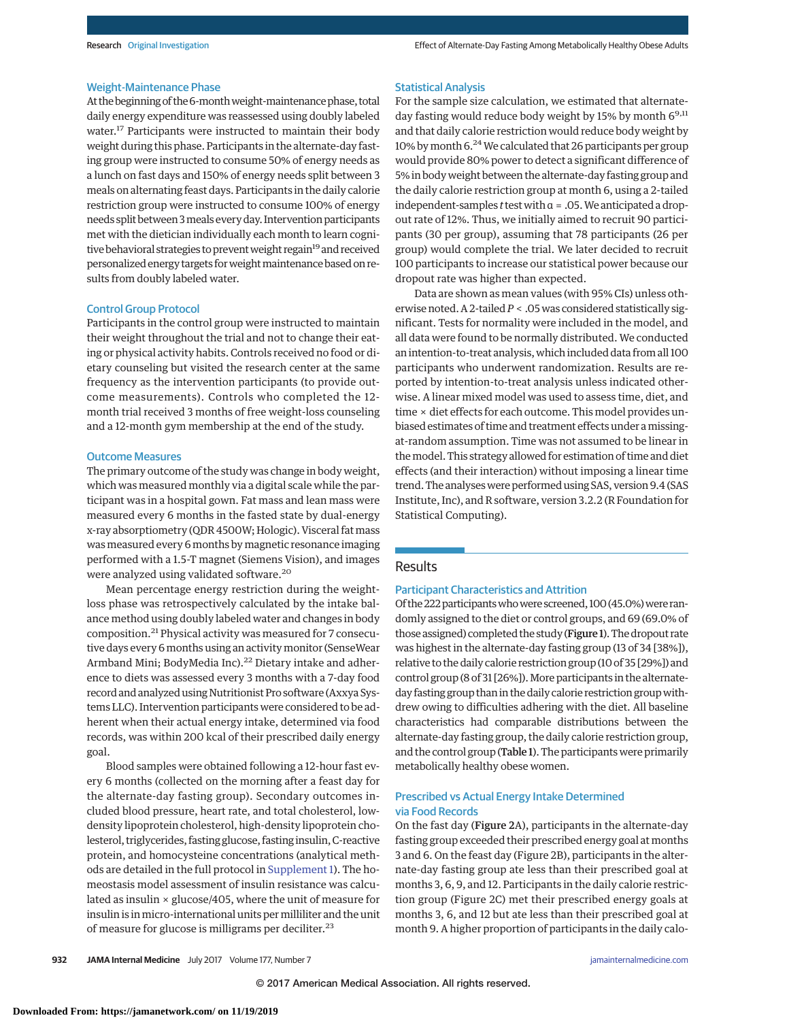#### Weight-Maintenance Phase

At the beginning of the 6-month weight-maintenance phase, total daily energy expenditure was reassessed using doubly labeled water.<sup>17</sup> Participants were instructed to maintain their body weight during this phase. Participants in the alternate-day fasting group were instructed to consume 50% of energy needs as a lunch on fast days and 150% of energy needs split between 3 meals on alternating feast days. Participants in the daily calorie restriction group were instructed to consume 100% of energy needs split between 3meals every day. Intervention participants met with the dietician individually each month to learn cognitive behavioral strategies to prevent weight regain<sup>19</sup> and received personalized energy targets forweightmaintenance based on results from doubly labeled water.

#### Control Group Protocol

Participants in the control group were instructed to maintain their weight throughout the trial and not to change their eating or physical activity habits. Controls received no food or dietary counseling but visited the research center at the same frequency as the intervention participants (to provide outcome measurements). Controls who completed the 12 month trial received 3 months of free weight-loss counseling and a 12-month gym membership at the end of the study.

#### Outcome Measures

The primary outcome of the study was change in body weight, which was measured monthly via a digital scale while the participant was in a hospital gown. Fat mass and lean mass were measured every 6 months in the fasted state by dual-energy x-ray absorptiometry (QDR 4500W; Hologic). Visceral fatmass was measured every 6 months by magnetic resonance imaging performed with a 1.5-T magnet (Siemens Vision), and images were analyzed using validated software.<sup>20</sup>

Mean percentage energy restriction during the weightloss phase was retrospectively calculated by the intake balance method using doubly labeled water and changes in body composition.<sup>21</sup> Physical activity was measured for 7 consecutive days every 6 months using an activity monitor (SenseWear Armband Mini; BodyMedia Inc).<sup>22</sup> Dietary intake and adherence to diets was assessed every 3 months with a 7-day food record and analyzed using Nutritionist Pro software (Axxya Systems LLC). Intervention participants were considered to be adherent when their actual energy intake, determined via food records, was within 200 kcal of their prescribed daily energy goal.

Blood samples were obtained following a 12-hour fast every 6 months (collected on the morning after a feast day for the alternate-day fasting group). Secondary outcomes included blood pressure, heart rate, and total cholesterol, lowdensity lipoprotein cholesterol, high-density lipoprotein cholesterol, triglycerides, fasting glucose, fasting insulin, C-reactive protein, and homocysteine concentrations (analytical methods are detailed in the full protocol in [Supplement 1\)](http://jama.jamanetwork.com/article.aspx?doi=10.1001/jamainternmed.2017.0936&utm_campaign=articlePDF%26utm_medium=articlePDFlink%26utm_source=articlePDF%26utm_content=jamainternmed.2017.0936). The homeostasis model assessment of insulin resistance was calculated as insulin  $\times$  glucose/405, where the unit of measure for insulin is inmicro-international units permilliliter and the unit of measure for glucose is milligrams per deciliter.<sup>23</sup>

#### Statistical Analysis

For the sample size calculation, we estimated that alternateday fasting would reduce body weight by 15% by month  $6^{9,11}$ and that daily calorie restriction would reduce body weight by 10% by month 6.<sup>24</sup> We calculated that 26 participants per group would provide 80% power to detect a significant difference of 5% in body weight between the alternate-day fasting group and the daily calorie restriction group at month 6, using a 2-tailed independent-samples *t* test with α = .05. We anticipated a dropout rate of 12%. Thus, we initially aimed to recruit 90 participants (30 per group), assuming that 78 participants (26 per group) would complete the trial. We later decided to recruit 100 participants to increase our statistical power because our dropout rate was higher than expected.

Data are shown as mean values (with 95% CIs) unless otherwise noted. A 2-tailed*P* < .05 was considered statistically significant. Tests for normality were included in the model, and all data were found to be normally distributed. We conducted an intention-to-treat analysis, which included data from all 100 participants who underwent randomization. Results are reported by intention-to-treat analysis unless indicated otherwise. A linear mixed model was used to assess time, diet, and time × diet effects for each outcome. This model provides unbiased estimates of time and treatment effects under amissingat-random assumption. Time was not assumed to be linear in themodel. This strategy allowed for estimation of time and diet effects (and their interaction) without imposing a linear time trend. The analyses were performed using SAS, version 9.4 (SAS Institute, Inc), and R software, version 3.2.2 (R Foundation for Statistical Computing).

## Results

#### Participant Characteristics and Attrition

Of the 222 participants who were screened, 100 (45.0%) were randomly assigned to the diet or control groups, and 69 (69.0% of those assigned) completed the study (Figure 1). The dropout rate was highest in the alternate-day fasting group (13 of 34 [38%]), relative to the daily calorie restriction group (10 of 35 [29%]) and control group (8 of 31 [26%]). More participants in the alternateday fasting group than in the daily calorie restriction group withdrew owing to difficulties adhering with the diet. All baseline characteristics had comparable distributions between the alternate-day fasting group, the daily calorie restriction group, and the control group (Table 1). The participants were primarily metabolically healthy obese women.

## Prescribed vs Actual Energy Intake Determined via Food Records

On the fast day (Figure 2A), participants in the alternate-day fasting group exceeded their prescribed energy goal at months 3 and 6. On the feast day (Figure 2B), participants in the alternate-day fasting group ate less than their prescribed goal at months 3, 6, 9, and 12. Participants in the daily calorie restriction group (Figure 2C) met their prescribed energy goals at months 3, 6, and 12 but ate less than their prescribed goal at month 9. A higher proportion of participants in the daily calo-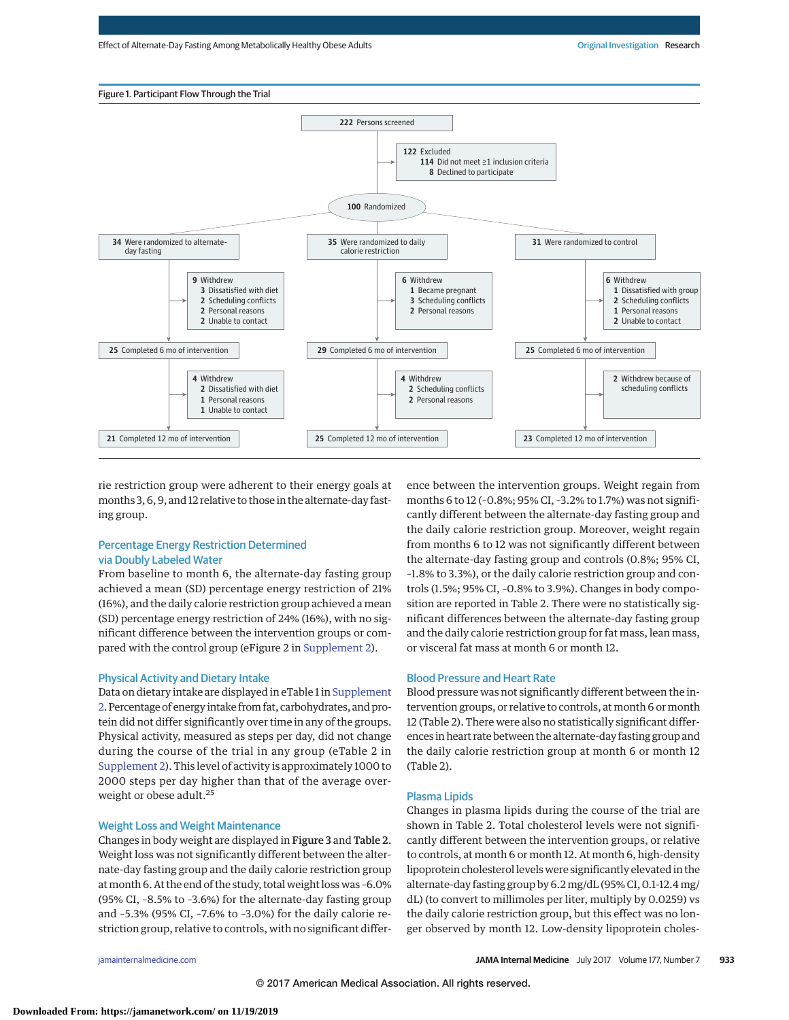

rie restriction group were adherent to their energy goals at months 3, 6, 9, and 12 relative to those in the alternate-day fasting group.

## Percentage Energy Restriction Determined via Doubly Labeled Water

From baseline to month 6, the alternate-day fasting group achieved a mean (SD) percentage energy restriction of 21% (16%), and the daily calorie restriction group achieved a mean (SD) percentage energy restriction of 24% (16%), with no significant difference between the intervention groups or compared with the control group (eFigure 2 in [Supplement 2\)](http://jama.jamanetwork.com/article.aspx?doi=10.1001/jamainternmed.2017.0936&utm_campaign=articlePDF%26utm_medium=articlePDFlink%26utm_source=articlePDF%26utm_content=jamainternmed.2017.0936).

## Physical Activity and Dietary Intake

Data on dietary intake are displayed in eTable 1 in [Supplement](http://jama.jamanetwork.com/article.aspx?doi=10.1001/jamainternmed.2017.0936&utm_campaign=articlePDF%26utm_medium=articlePDFlink%26utm_source=articlePDF%26utm_content=jamainternmed.2017.0936) [2.](http://jama.jamanetwork.com/article.aspx?doi=10.1001/jamainternmed.2017.0936&utm_campaign=articlePDF%26utm_medium=articlePDFlink%26utm_source=articlePDF%26utm_content=jamainternmed.2017.0936) Percentage of energy intake from fat, carbohydrates, and protein did not differ significantly over time in any of the groups. Physical activity, measured as steps per day, did not change during the course of the trial in any group (eTable 2 in [Supplement 2\)](http://jama.jamanetwork.com/article.aspx?doi=10.1001/jamainternmed.2017.0936&utm_campaign=articlePDF%26utm_medium=articlePDFlink%26utm_source=articlePDF%26utm_content=jamainternmed.2017.0936). This level of activity is approximately 1000 to 2000 steps per day higher than that of the average overweight or obese adult.<sup>25</sup>

#### Weight Loss and Weight Maintenance

Changes in body weight are displayed in Figure 3 and Table 2. Weight loss was not significantly different between the alternate-day fasting group and the daily calorie restriction group at month 6. At the end of the study, total weight loss was -6.0% (95% CI, –8.5% to –3.6%) for the alternate-day fasting group and –5.3% (95% CI, –7.6% to –3.0%) for the daily calorie restriction group, relative to controls, with no significant difference between the intervention groups. Weight regain from months 6 to 12 (–0.8%; 95% CI, –3.2% to 1.7%) was not significantly different between the alternate-day fasting group and the daily calorie restriction group. Moreover, weight regain from months 6 to 12 was not significantly different between the alternate-day fasting group and controls (0.8%; 95% CI, –1.8% to 3.3%), or the daily calorie restriction group and controls (1.5%; 95% CI, –0.8% to 3.9%). Changes in body composition are reported in Table 2. There were no statistically significant differences between the alternate-day fasting group and the daily calorie restriction group for fat mass, lean mass, or visceral fat mass at month 6 or month 12.

## Blood Pressure and Heart Rate

Blood pressure was not significantly different between the intervention groups, or relative to controls, at month 6 or month 12 (Table 2). There were also no statistically significant differences in heart rate between the alternate-day fasting group and the daily calorie restriction group at month 6 or month 12 (Table 2).

#### Plasma Lipids

Changes in plasma lipids during the course of the trial are shown in Table 2. Total cholesterol levels were not significantly different between the intervention groups, or relative to controls, at month 6 or month 12. At month 6, high-density lipoprotein cholesterol levels were significantly elevated in the alternate-day fasting group by 6.2 mg/dL (95% CI, 0.1-12.4 mg/ dL) (to convert to millimoles per liter, multiply by 0.0259) vs the daily calorie restriction group, but this effect was no longer observed by month 12. Low-density lipoprotein choles-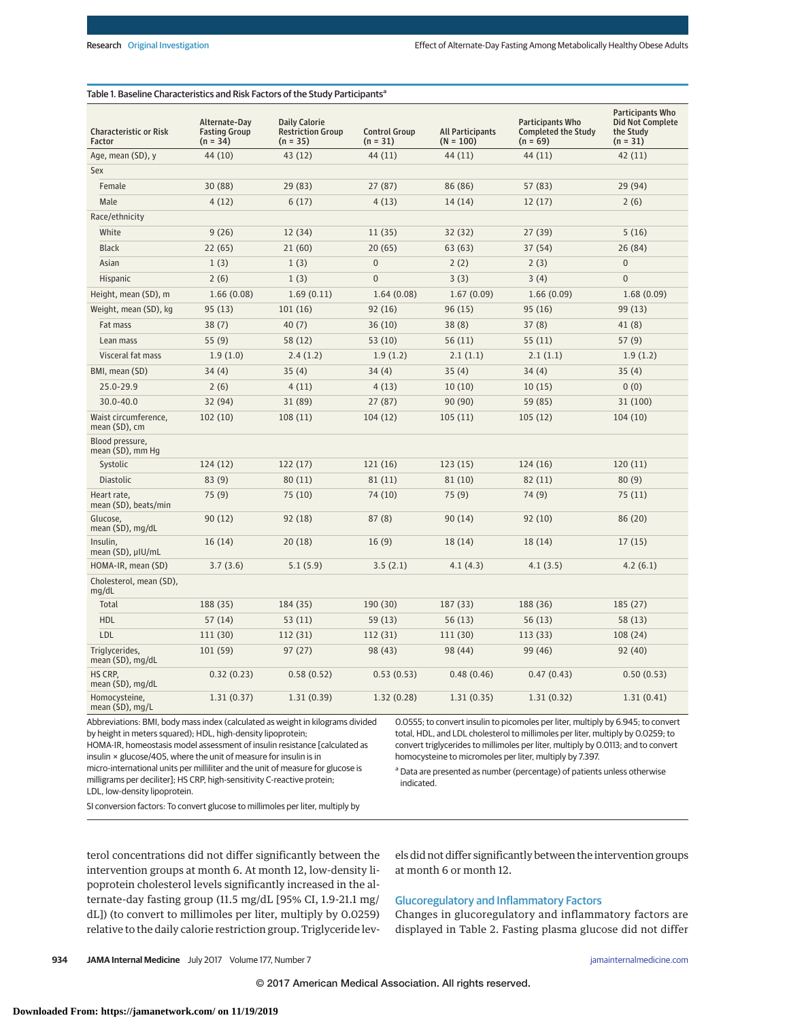| <b>Characteristic or Risk</b><br>Factor | Alternate-Day<br><b>Fasting Group</b><br>$(n = 34)$ | <b>Daily Calorie</b><br><b>Restriction Group</b><br>$(n = 35)$ | <b>Control Group</b><br>$(n = 31)$ | <b>All Participants</b><br>$(N = 100)$ | <b>Participants Who</b><br><b>Completed the Study</b><br>$(n = 69)$ | <b>Participants Who</b><br><b>Did Not Complete</b><br>the Study<br>$(n = 31)$ |
|-----------------------------------------|-----------------------------------------------------|----------------------------------------------------------------|------------------------------------|----------------------------------------|---------------------------------------------------------------------|-------------------------------------------------------------------------------|
| Age, mean (SD), y                       | 44 (10)                                             | 43 (12)                                                        | 44 (11)                            | 44 (11)                                | 44 (11)                                                             | 42(11)                                                                        |
| Sex                                     |                                                     |                                                                |                                    |                                        |                                                                     |                                                                               |
| Female                                  | 30 (88)                                             | 29 (83)                                                        | 27(87)                             | 86 (86)                                | 57 (83)                                                             | 29 (94)                                                                       |
| Male                                    | 4(12)                                               | 6(17)                                                          | 4(13)                              | 14(14)                                 | 12(17)                                                              | 2(6)                                                                          |
| Race/ethnicity                          |                                                     |                                                                |                                    |                                        |                                                                     |                                                                               |
| White                                   | 9(26)                                               | 12 (34)                                                        | 11(35)                             | 32(32)                                 | 27(39)                                                              | 5(16)                                                                         |
| <b>Black</b>                            | 22(65)                                              | 21(60)                                                         | 20(65)                             | 63(63)                                 | 37(54)                                                              | 26(84)                                                                        |
| Asian                                   | 1(3)                                                | 1(3)                                                           | $\Omega$                           | 2(2)                                   | 2(3)                                                                | $\pmb{0}$                                                                     |
| Hispanic                                | 2(6)                                                | 1(3)                                                           | $\overline{0}$                     | 3(3)                                   | 3(4)                                                                | $\overline{0}$                                                                |
| Height, mean (SD), m                    | 1.66(0.08)                                          | 1.69(0.11)                                                     | 1.64(0.08)                         | 1.67(0.09)                             | 1.66(0.09)                                                          | 1.68(0.09)                                                                    |
| Weight, mean (SD), kg                   | 95(13)                                              | 101(16)                                                        | 92(16)                             | 96(15)                                 | 95(16)                                                              | 99 (13)                                                                       |
| Fat mass                                | 38(7)                                               | 40(7)                                                          | 36(10)                             | 38(8)                                  | 37(8)                                                               | 41(8)                                                                         |
| Lean mass                               | 55(9)                                               | 58 (12)                                                        | 53 (10)                            | 56(11)                                 | 55(11)                                                              | 57(9)                                                                         |
| Visceral fat mass                       | 1.9(1.0)                                            | 2.4(1.2)                                                       | 1.9(1.2)                           | 2.1(1.1)                               | 2.1(1.1)                                                            | 1.9(1.2)                                                                      |
| BMI, mean (SD)                          | 34(4)                                               | 35(4)                                                          | 34(4)                              | 35(4)                                  | 34(4)                                                               | 35(4)                                                                         |
| 25.0-29.9                               | 2(6)                                                | 4(11)                                                          | 4(13)                              | 10(10)                                 | 10(15)                                                              | 0(0)                                                                          |
| $30.0 - 40.0$                           | 32 (94)                                             | 31 (89)                                                        | 27(87)                             | 90(90)                                 | 59 (85)                                                             | 31 (100)                                                                      |
| Waist circumference,<br>mean (SD), cm   | 102(10)                                             | 108(11)                                                        | 104(12)                            | 105(11)                                | 105(12)                                                             | 104(10)                                                                       |
| Blood pressure,<br>mean (SD), mm Hg     |                                                     |                                                                |                                    |                                        |                                                                     |                                                                               |
| Systolic                                | 124(12)                                             | 122(17)                                                        | 121(16)                            | 123(15)                                | 124(16)                                                             | 120(11)                                                                       |
| <b>Diastolic</b>                        | 83(9)                                               | 80(11)                                                         | 81(11)                             | 81 (10)                                | 82 (11)                                                             | 80(9)                                                                         |
| Heart rate,<br>mean (SD), beats/min     | 75(9)                                               | 75 (10)                                                        | 74 (10)                            | 75(9)                                  | 74 (9)                                                              | 75(11)                                                                        |
| Glucose,<br>mean (SD), mg/dL            | 90(12)                                              | 92(18)                                                         | 87(8)                              | 90(14)                                 | 92(10)                                                              | 86 (20)                                                                       |
| Insulin,<br>mean (SD), µIU/mL           | 16(14)                                              | 20(18)                                                         | 16(9)                              | 18 (14)                                | 18(14)                                                              | 17(15)                                                                        |
| HOMA-IR, mean (SD)                      | 3.7(3.6)                                            | 5.1(5.9)                                                       | 3.5(2.1)                           | 4.1(4.3)                               | 4.1(3.5)                                                            | 4.2(6.1)                                                                      |
| Cholesterol, mean (SD),<br>mg/dL        |                                                     |                                                                |                                    |                                        |                                                                     |                                                                               |
| Total                                   | 188 (35)                                            | 184 (35)                                                       | 190 (30)                           | 187 (33)                               | 188 (36)                                                            | 185 (27)                                                                      |
| <b>HDL</b>                              | 57(14)                                              | 53(11)                                                         | 59 (13)                            | 56(13)                                 | 56(13)                                                              | 58(13)                                                                        |
| LDL                                     | 111 (30)                                            | 112 (31)                                                       | 112 (31)                           | 111 (30)                               | 113(33)                                                             | 108 (24)                                                                      |
| Triglycerides,<br>mean (SD), mg/dL      | 101 (59)                                            | 97(27)                                                         | 98 (43)                            | 98 (44)                                | 99 (46)                                                             | 92 (40)                                                                       |
| HS CRP.<br>mean (SD), mg/dL             | 0.32(0.23)                                          | 0.58(0.52)                                                     | 0.53(0.53)                         | 0.48(0.46)                             | 0.47(0.43)                                                          | 0.50(0.53)                                                                    |
| Homocysteine,<br>mean (SD), mg/L        | 1.31(0.37)                                          | 1.31(0.39)                                                     | 1.32(0.28)                         | 1.31(0.35)                             | 1.31(0.32)                                                          | 1.31(0.41)                                                                    |

## Table 1. Baseline Characteristics and Risk Factors of the Study Participants<sup>a</sup>

Abbreviations: BMI, body mass index (calculated as weight in kilograms divided by height in meters squared); HDL, high-density lipoprotein;

HOMA-IR, homeostasis model assessment of insulin resistance [calculated as insulin × glucose/405, where the unit of measure for insulin is in micro-international units per milliliter and the unit of measure for glucose is milligrams per deciliter]; HS CRP, high-sensitivity C-reactive protein; LDL, low-density lipoprotein.

0.0555; to convert insulin to picomoles per liter, multiply by 6.945; to convert total, HDL, and LDL cholesterol to millimoles per liter, multiply by 0.0259; to convert triglycerides to millimoles per liter, multiply by 0.0113; and to convert homocysteine to micromoles per liter, multiply by 7.397.

<sup>a</sup> Data are presented as number (percentage) of patients unless otherwise indicated.

SI conversion factors: To convert glucose to millimoles per liter, multiply by

terol concentrations did not differ significantly between the intervention groups at month 6. At month 12, low-density lipoprotein cholesterol levels significantly increased in the alternate-day fasting group (11.5 mg/dL [95% CI, 1.9-21.1 mg/ dL]) (to convert to millimoles per liter, multiply by 0.0259) relative to the daily calorie restriction group. Triglyceride levels did not differ significantly between the intervention groups at month 6 or month 12.

# Glucoregulatory and Inflammatory Factors

Changes in glucoregulatory and inflammatory factors are displayed in Table 2. Fasting plasma glucose did not differ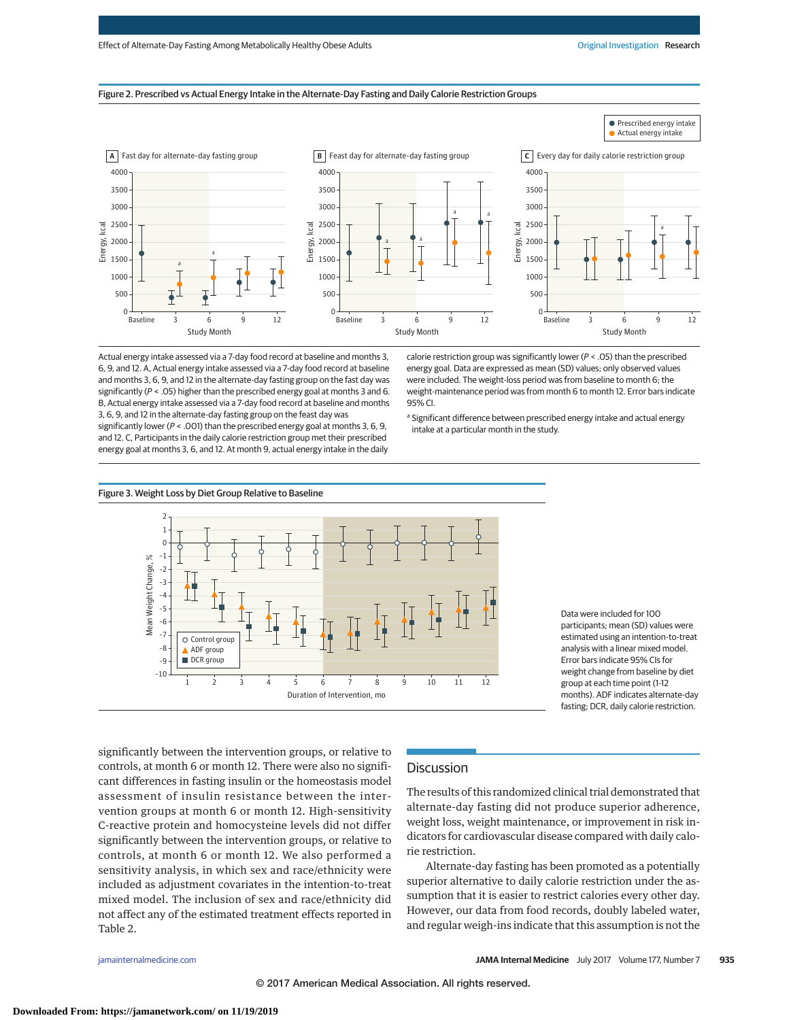### Figure 2. Prescribed vs Actual Energy Intake in the Alternate-Day Fasting and Daily Calorie Restriction Groups



Actual energy intake assessed via a 7-day food record at baseline and months 3, 6, 9, and 12. A, Actual energy intake assessed via a 7-day food record at baseline and months 3, 6, 9, and 12 in the alternate-day fasting group on the fast day was significantly (P < .05) higher than the prescribed energy goal at months 3 and 6. B, Actual energy intake assessed via a 7-day food record at baseline and months 3, 6, 9, and 12 in the alternate-day fasting group on the feast day was

significantly lower (P < .001) than the prescribed energy goal at months 3, 6, 9, and 12. C, Participants in the daily calorie restriction group met their prescribed energy goal at months 3, 6, and 12. At month 9, actual energy intake in the daily calorie restriction group was significantly lower ( $P < .05$ ) than the prescribed energy goal. Data are expressed as mean (SD) values; only observed values were included. The weight-loss period was from baseline to month 6; the weight-maintenance period was from month 6 to month 12. Error bars indicate 95% CI.

<sup>a</sup> Significant difference between prescribed energy intake and actual energy intake at a particular month in the study.



Data were included for 100 participants; mean (SD) values were estimated using an intention-to-treat analysis with a linear mixed model. Error bars indicate 95% CIs for weight change from baseline by diet group at each time point (1-12 months). ADF indicates alternate-day fasting; DCR, daily calorie restriction.

significantly between the intervention groups, or relative to controls, at month 6 or month 12. There were also no significant differences in fasting insulin or the homeostasis model assessment of insulin resistance between the intervention groups at month 6 or month 12. High-sensitivity C-reactive protein and homocysteine levels did not differ significantly between the intervention groups, or relative to controls, at month 6 or month 12. We also performed a sensitivity analysis, in which sex and race/ethnicity were included as adjustment covariates in the intention-to-treat mixed model. The inclusion of sex and race/ethnicity did not affect any of the estimated treatment effects reported in Table 2.

# **Discussion**

The results of this randomized clinical trial demonstrated that alternate-day fasting did not produce superior adherence, weight loss, weight maintenance, or improvement in risk indicators for cardiovascular disease compared with daily calorie restriction.

Alternate-day fasting has been promoted as a potentially superior alternative to daily calorie restriction under the assumption that it is easier to restrict calories every other day. However, our data from food records, doubly labeled water, and regular weigh-ins indicate that this assumption is not the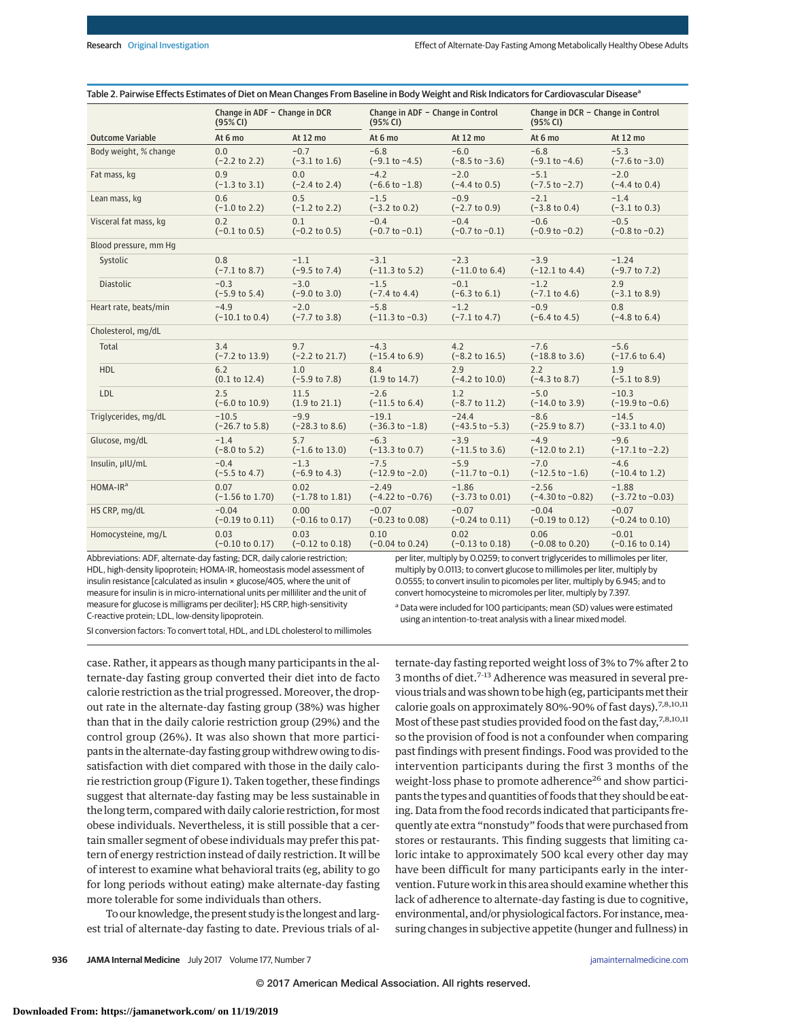|                         | Change in ADF - Change in DCR |                            | Change in ADF - Change in Control |                            | Change in DCR - Change in Control |                             |
|-------------------------|-------------------------------|----------------------------|-----------------------------------|----------------------------|-----------------------------------|-----------------------------|
|                         | (95% CI)                      |                            | (95% CI)                          |                            | (95% CI)                          |                             |
| <b>Outcome Variable</b> | At 6 mo                       | At 12 mo                   | At 6 mo                           | At 12 mo                   | At 6 mo                           | At 12 mo                    |
| Body weight, % change   | 0.0                           | $-0.7$                     | $-6.8$                            | $-6.0$                     | $-6.8$                            | $-5.3$                      |
|                         | $(-2.2 \text{ to } 2.2)$      | $(-3.1 \text{ to } 1.6)$   | $(-9.1 to -4.5)$                  | $(-8.5 \text{ to } -3.6)$  | $(-9.1 to -4.6)$                  | $(-7.6 \text{ to } -3.0)$   |
| Fat mass, kg            | 0.9                           | 0.0                        | $-4.2$                            | $-2.0$                     | $-5.1$                            | $-2.0$                      |
|                         | $(-1.3 \text{ to } 3.1)$      | $(-2.4 \text{ to } 2.4)$   | $(-6.6 \text{ to } -1.8)$         | $(-4.4 \text{ to } 0.5)$   | $(-7.5 \text{ to } -2.7)$         | $(-4.4 \text{ to } 0.4)$    |
| Lean mass, kg           | 0.6                           | 0.5                        | $-1.5$                            | $-0.9$                     | $-2.1$                            | $-1.4$                      |
|                         | $(-1.0 \text{ to } 2.2)$      | $(-1.2 \text{ to } 2.2)$   | $(-3.2 \text{ to } 0.2)$          | $(-2.7 \text{ to } 0.9)$   | $(-3.8 \text{ to } 0.4)$          | $(-3.1 \text{ to } 0.3)$    |
| Visceral fat mass, kg   | 0.2                           | 0.1                        | $-0.4$                            | $-0.4$                     | $-0.6$                            | $-0.5$                      |
|                         | $(-0.1 \text{ to } 0.5)$      | $(-0.2 \text{ to } 0.5)$   | $(-0.7 \text{ to } -0.1)$         | $(-0.7 to -0.1)$           | $(-0.9 to -0.2)$                  | $(-0.8$ to $-0.2)$          |
| Blood pressure, mm Hg   |                               |                            |                                   |                            |                                   |                             |
| Systolic                | 0.8                           | $-1.1$                     | $-3.1$                            | $-2.3$                     | $-3.9$                            | $-1.24$                     |
|                         | $(-7.1 \text{ to } 8.7)$      | $(-9.5 \text{ to } 7.4)$   | $(-11.3 \text{ to } 5.2)$         | $(-11.0 \text{ to } 6.4)$  | $(-12.1 \text{ to } 4.4)$         | $(-9.7 \text{ to } 7.2)$    |
| <b>Diastolic</b>        | $-0.3$                        | $-3.0$                     | $-1.5$                            | $-0.1$                     | $-1.2$                            | 2.9                         |
|                         | $(-5.9 \text{ to } 5.4)$      | $(-9.0 \text{ to } 3.0)$   | $(-7.4 \text{ to } 4.4)$          | $(-6.3 \text{ to } 6.1)$   | $(-7.1 \text{ to } 4.6)$          | $(-3.1 \text{ to } 8.9)$    |
| Heart rate, beats/min   | $-4.9$                        | $-2.0$                     | $-5.8$                            | $-1.2$                     | $-0.9$                            | 0.8                         |
|                         | $(-10.1 \text{ to } 0.4)$     | $(-7.7 \text{ to } 3.8)$   | $(-11.3 to -0.3)$                 | $(-7.1 \text{ to } 4.7)$   | $(-6.4 \text{ to } 4.5)$          | $(-4.8 \text{ to } 6.4)$    |
| Cholesterol, mg/dL      |                               |                            |                                   |                            |                                   |                             |
| Total                   | 3.4                           | 9.7                        | $-4.3$                            | 4.2                        | $-7.6$                            | $-5.6$                      |
|                         | $(-7.2 \text{ to } 13.9)$     | $(-2.2 \text{ to } 21.7)$  | $(-15.4 \text{ to } 6.9)$         | $(-8.2 \text{ to } 16.5)$  | $(-18.8 \text{ to } 3.6)$         | $(-17.6 \text{ to } 6.4)$   |
| <b>HDL</b>              | 6.2                           | 1.0                        | 8.4                               | 2.9                        | 2.2                               | 1.9                         |
|                         | $(0.1 \text{ to } 12.4)$      | $(-5.9 \text{ to } 7.8)$   | $(1.9 \text{ to } 14.7)$          | $(-4.2 \text{ to } 10.0)$  | $(-4.3 \text{ to } 8.7)$          | $(-5.1 \text{ to } 8.9)$    |
| LDL                     | 2.5                           | 11.5                       | $-2.6$                            | 1.2                        | $-5.0$                            | $-10.3$                     |
|                         | $(-6.0 \text{ to } 10.9)$     | (1.9 to 21.1)              | $(-11.5 \text{ to } 6.4)$         | $(-8.7 \text{ to } 11.2)$  | $(-14.0 \text{ to } 3.9)$         | $(-19.9 to -0.6)$           |
| Triglycerides, mg/dL    | $-10.5$                       | $-9.9$                     | $-19.1$                           | $-24.4$                    | $-8.6$                            | $-14.5$                     |
|                         | $(-26.7 \text{ to } 5.8)$     | $(-28.3 \text{ to } 8.6)$  | $(-36.3 \text{ to } -1.8)$        | $(-43.5 \text{ to } -5.3)$ | $(-25.9 \text{ to } 8.7)$         | $(-33.1 \text{ to } 4.0)$   |
| Glucose, mg/dL          | $-1.4$                        | 5.7                        | $-6.3$                            | $-3.9$                     | $-4.9$                            | $-9.6$                      |
|                         | $(-8.0 \text{ to } 5.2)$      | $(-1.6 \text{ to } 13.0)$  | $(-13.3 \text{ to } 0.7)$         | $(-11.5 \text{ to } 3.6)$  | $(-12.0 \text{ to } 2.1)$         | $(-17.1 to -2.2)$           |
| Insulin, µIU/mL         | $-0.4$                        | $-1.3$                     | $-7.5$                            | $-5.9$                     | $-7.0$                            | $-4.6$                      |
|                         | $(-5.5 \text{ to } 4.7)$      | $(-6.9 \text{ to } 4.3)$   | $(-12.9 to -2.0)$                 | $(-11.7 to -0.1)$          | $(-12.5 \text{ to } -1.6)$        | $(-10.4 \text{ to } 1.2)$   |
| HOMA-IR <sup>a</sup>    | 0.07                          | 0.02                       | $-2.49$                           | $-1.86$                    | $-2.56$                           | $-1.88$                     |
|                         | $(-1.56 \text{ to } 1.70)$    | $(-1.78 \text{ to } 1.81)$ | $(-4.22 \text{ to } -0.76)$       | $(-3.73 \text{ to } 0.01)$ | $(-4.30 \text{ to } -0.82)$       | $(-3.72 \text{ to } -0.03)$ |
| HS CRP, mg/dL           | $-0.04$                       | 0.00                       | $-0.07$                           | $-0.07$                    | $-0.04$                           | $-0.07$                     |
|                         | $(-0.19 \text{ to } 0.11)$    | $(-0.16 \text{ to } 0.17)$ | $(-0.23 \text{ to } 0.08)$        | $(-0.24 \text{ to } 0.11)$ | $(-0.19 \text{ to } 0.12)$        | $(-0.24 \text{ to } 0.10)$  |
| Homocysteine, mg/L      | 0.03                          | 0.03                       | 0.10                              | 0.02                       | 0.06                              | $-0.01$                     |
|                         | $(-0.10 \text{ to } 0.17)$    | $(-0.12 \text{ to } 0.18)$ | $(-0.04 \text{ to } 0.24)$        | $(-0.13 \text{ to } 0.18)$ | $(-0.08 \text{ to } 0.20)$        | $(-0.16 \text{ to } 0.14)$  |

Table 2. Pairwise Effects Estimates of Diet on Mean Changes From Baseline in Body Weight and Risk Indicators for Cardiovascular Disease<sup>a</sup>

Abbreviations: ADF, alternate-day fasting; DCR, daily calorie restriction; HDL, high-density lipoprotein; HOMA-IR, homeostasis model assessment of insulin resistance [calculated as insulin × glucose/405, where the unit of measure for insulin is in micro-international units per milliliter and the unit of measure for glucose is milligrams per deciliter]; HS CRP, high-sensitivity C-reactive protein; LDL, low-density lipoprotein.

per liter, multiply by 0.0259; to convert triglycerides to millimoles per liter, multiply by 0.0113; to convert glucose to millimoles per liter, multiply by 0.0555; to convert insulin to picomoles per liter, multiply by 6.945; and to convert homocysteine to micromoles per liter, multiply by 7.397.

SI conversion factors: To convert total, HDL, and LDL cholesterol to millimoles

case. Rather, it appears as though many participants in the alternate-day fasting group converted their diet into de facto calorie restriction as the trial progressed. Moreover, the dropout rate in the alternate-day fasting group (38%) was higher than that in the daily calorie restriction group (29%) and the control group (26%). It was also shown that more participants in the alternate-day fasting group withdrew owing to dissatisfaction with diet compared with those in the daily calorie restriction group (Figure 1). Taken together, these findings suggest that alternate-day fasting may be less sustainable in the long term, compared with daily calorie restriction, formost obese individuals. Nevertheless, it is still possible that a certain smaller segment of obese individuals may prefer this pattern of energy restriction instead of daily restriction. It will be of interest to examine what behavioral traits (eg, ability to go for long periods without eating) make alternate-day fasting more tolerable for some individuals than others.

To our knowledge, the present study is the longest and largest trial of alternate-day fasting to date. Previous trials of al<sup>a</sup> Data were included for 100 participants; mean (SD) values were estimated using an intention-to-treat analysis with a linear mixed model.

ternate-day fasting reported weight loss of 3% to 7% after 2 to 3 months of diet.<sup>7-13</sup> Adherence was measured in several previous trials and was shown to be high (eg, participants met their calorie goals on approximately 80%-90% of fast days).<sup>7,8,10,11</sup> Most of these past studies provided food on the fast day,<sup>7,8,10,11</sup> so the provision of food is not a confounder when comparing past findings with present findings. Food was provided to the intervention participants during the first 3 months of the weight-loss phase to promote adherence<sup>26</sup> and show participants the types and quantities of foods that they should be eating. Data from the food records indicated that participants frequently ate extra "nonstudy" foods that were purchased from stores or restaurants. This finding suggests that limiting caloric intake to approximately 500 kcal every other day may have been difficult for many participants early in the intervention. Future work in this area should examine whether this lack of adherence to alternate-day fasting is due to cognitive, environmental, and/or physiological factors. For instance, measuring changes in subjective appetite (hunger and fullness) in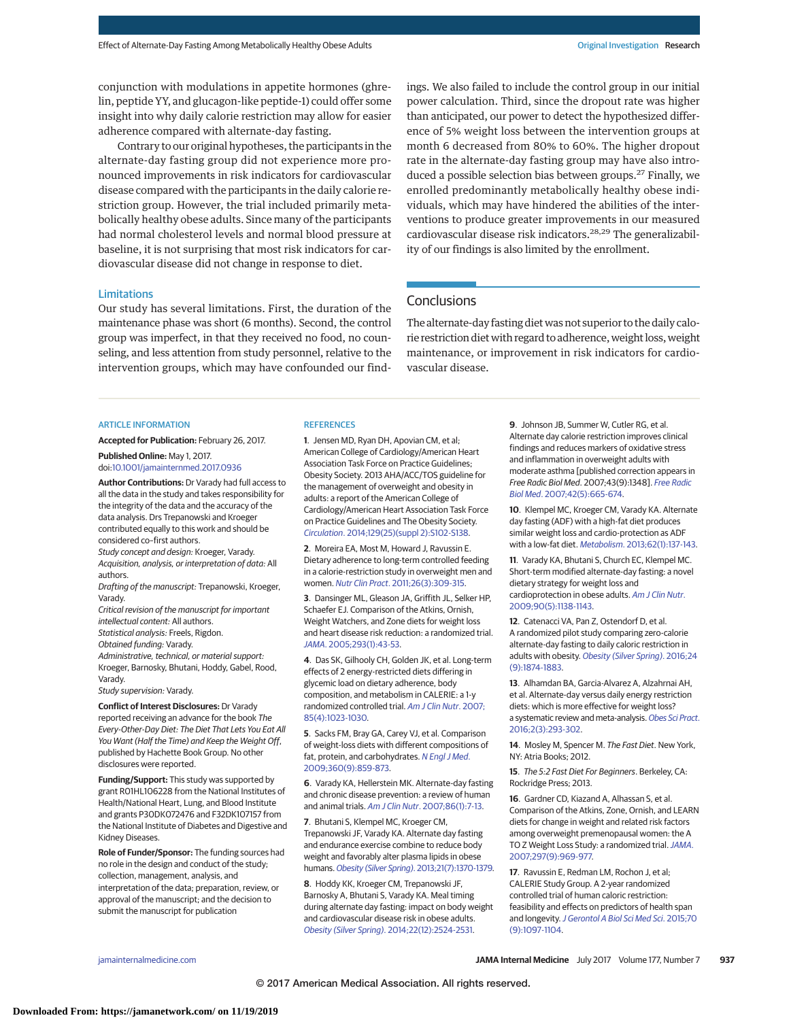conjunction with modulations in appetite hormones (ghrelin, peptide YY, and glucagon-like peptide-1) could offer some insight into why daily calorie restriction may allow for easier adherence compared with alternate-day fasting.

Contrary to our original hypotheses, the participants in the alternate-day fasting group did not experience more pronounced improvements in risk indicators for cardiovascular disease compared with the participants in the daily calorie restriction group. However, the trial included primarily metabolically healthy obese adults. Since many of the participants had normal cholesterol levels and normal blood pressure at baseline, it is not surprising that most risk indicators for cardiovascular disease did not change in response to diet.

#### Limitations

Our study has several limitations. First, the duration of the maintenance phase was short (6 months). Second, the control group was imperfect, in that they received no food, no counseling, and less attention from study personnel, relative to the intervention groups, which may have confounded our findings. We also failed to include the control group in our initial power calculation. Third, since the dropout rate was higher than anticipated, our power to detect the hypothesized difference of 5% weight loss between the intervention groups at month 6 decreased from 80% to 60%. The higher dropout rate in the alternate-day fasting group may have also introduced a possible selection bias between groups.<sup>27</sup> Finally, we enrolled predominantly metabolically healthy obese individuals, which may have hindered the abilities of the interventions to produce greater improvements in our measured cardiovascular disease risk indicators.<sup>28,29</sup> The generalizability of our findings is also limited by the enrollment.

# **Conclusions**

The alternate-day fasting diet was not superior to the daily calorie restriction diet with regard to adherence, weight loss, weight maintenance, or improvement in risk indicators for cardiovascular disease.

#### ARTICLE INFORMATION

**Accepted for Publication:** February 26, 2017.

**Published Online:** May 1, 2017. doi[:10.1001/jamainternmed.2017.0936](http://jama.jamanetwork.com/article.aspx?doi=10.1001/jamainternmed.2017.0936&utm_campaign=articlePDF%26utm_medium=articlePDFlink%26utm_source=articlePDF%26utm_content=jamainternmed.2017.0936)

**Author Contributions:** Dr Varady had full access to all the data in the study and takes responsibility for the integrity of the data and the accuracy of the data analysis. Drs Trepanowski and Kroeger contributed equally to this work and should be considered co–first authors.

Study concept and design: Kroeger, Varady. Acquisition, analysis, or interpretation of data: All authors.

Drafting of the manuscript: Trepanowski, Kroeger, Varady.

Critical revision of the manuscript for important intellectual content: All authors.

Statistical analysis: Freels, Rigdon.

Obtained funding: Varady.

Administrative, technical, or material support: Kroeger, Barnosky, Bhutani, Hoddy, Gabel, Rood, Varady.

Study supervision: Varady.

**Conflict of Interest Disclosures:** Dr Varady reported receiving an advance for the book The Every-Other-Day Diet: The Diet That Lets You Eat All You Want (Half the Time) and Keep the Weight Off, published by Hachette Book Group. No other disclosures were reported.

**Funding/Support:** This study was supported by grant R01HL106228 from the National Institutes of Health/National Heart, Lung, and Blood Institute and grants P30DK072476 and F32DK107157 from the National Institute of Diabetes and Digestive and Kidney Diseases.

**Role of Funder/Sponsor:** The funding sources had no role in the design and conduct of the study; collection, management, analysis, and interpretation of the data; preparation, review, or approval of the manuscript; and the decision to submit the manuscript for publication

#### **REFERENCES**

**1**. Jensen MD, Ryan DH, Apovian CM, et al; American College of Cardiology/American Heart Association Task Force on Practice Guidelines; Obesity Society. 2013 AHA/ACC/TOS guideline for the management of overweight and obesity in adults: a report of the American College of Cardiology/American Heart Association Task Force on Practice Guidelines and The Obesity Society. Circulation[. 2014;129\(25\)\(suppl 2\):S102-S138.](https://www.ncbi.nlm.nih.gov/pubmed/24222017)

**2**. Moreira EA, Most M, Howard J, Ravussin E. Dietary adherence to long-term controlled feeding in a calorie-restriction study in overweight men and women. Nutr Clin Pract[. 2011;26\(3\):309-315.](https://www.ncbi.nlm.nih.gov/pubmed/21586416)

**3**. Dansinger ML, Gleason JA, Griffith JL, Selker HP, Schaefer EJ. Comparison of the Atkins, Ornish, Weight Watchers, and Zone diets for weight loss and heart disease risk reduction: a randomized trial. JAMA[. 2005;293\(1\):43-53.](https://www.ncbi.nlm.nih.gov/pubmed/15632335)

**4**. Das SK, Gilhooly CH, Golden JK, et al. Long-term effects of 2 energy-restricted diets differing in glycemic load on dietary adherence, body composition, and metabolism in CALERIE: a 1-y randomized controlled trial. [Am J Clin Nutr](https://www.ncbi.nlm.nih.gov/pubmed/17413101). 2007; [85\(4\):1023-1030.](https://www.ncbi.nlm.nih.gov/pubmed/17413101)

**5**. Sacks FM, Bray GA, Carey VJ, et al. Comparison of weight-loss diets with different compositions of fat, protein, and carbohydrates. [N Engl J Med](https://www.ncbi.nlm.nih.gov/pubmed/19246357). [2009;360\(9\):859-873.](https://www.ncbi.nlm.nih.gov/pubmed/19246357)

**6**. Varady KA, Hellerstein MK. Alternate-day fasting and chronic disease prevention: a review of human and animal trials. Am J Clin Nutr[. 2007;86\(1\):7-13.](https://www.ncbi.nlm.nih.gov/pubmed/17616757)

**7**. Bhutani S, Klempel MC, Kroeger CM, Trepanowski JF, Varady KA. Alternate day fasting and endurance exercise combine to reduce body weight and favorably alter plasma lipids in obese humans.Obesity (Silver Spring)[. 2013;21\(7\):1370-1379.](https://www.ncbi.nlm.nih.gov/pubmed/23408502)

**8**. Hoddy KK, Kroeger CM, Trepanowski JF, Barnosky A, Bhutani S, Varady KA. Meal timing during alternate day fasting: impact on body weight and cardiovascular disease risk in obese adults. Obesity (Silver Spring)[. 2014;22\(12\):2524-2531.](https://www.ncbi.nlm.nih.gov/pubmed/25251676)

**9**. Johnson JB, Summer W, Cutler RG, et al. Alternate day calorie restriction improves clinical findings and reduces markers of oxidative stress and inflammation in overweight adults with moderate asthma [published correction appears in Free Radic Biol Med. 2007;43(9):1348]. [Free Radic](https://www.ncbi.nlm.nih.gov/pubmed/17291990) Biol Med[. 2007;42\(5\):665-674.](https://www.ncbi.nlm.nih.gov/pubmed/17291990)

**10**. Klempel MC, Kroeger CM, Varady KA. Alternate day fasting (ADF) with a high-fat diet produces similar weight loss and cardio-protection as ADF with a low-fat diet. Metabolism[. 2013;62\(1\):137-143.](https://www.ncbi.nlm.nih.gov/pubmed/22889512)

**11**. Varady KA, Bhutani S, Church EC, Klempel MC. Short-term modified alternate-day fasting: a novel dietary strategy for weight loss and cardioprotection in obese adults. [Am J Clin Nutr](https://www.ncbi.nlm.nih.gov/pubmed/19793855). [2009;90\(5\):1138-1143.](https://www.ncbi.nlm.nih.gov/pubmed/19793855)

**12**. Catenacci VA, Pan Z, Ostendorf D, et al. A randomized pilot study comparing zero-calorie alternate-day fasting to daily caloric restriction in adults with obesity. [Obesity \(Silver Spring\)](https://www.ncbi.nlm.nih.gov/pubmed/27569118). 2016;24 [\(9\):1874-1883.](https://www.ncbi.nlm.nih.gov/pubmed/27569118)

**13**. Alhamdan BA, Garcia-Alvarez A, Alzahrnai AH, et al. Alternate-day versus daily energy restriction diets: which is more effective for weight loss? a systematic review and meta-analysis. [Obes Sci Pract](https://www.ncbi.nlm.nih.gov/pubmed/27708846). [2016;2\(3\):293-302.](https://www.ncbi.nlm.nih.gov/pubmed/27708846)

**14**. Mosley M, Spencer M. The Fast Diet. New York, NY: Atria Books; 2012.

**15**. The 5:2 Fast Diet For Beginners. Berkeley, CA: Rockridge Press; 2013.

**16**. Gardner CD, Kiazand A, Alhassan S, et al. Comparison of the Atkins, Zone, Ornish, and LEARN diets for change in weight and related risk factors among overweight premenopausal women: the A TO Z Weight Loss Study: a randomized trial. [JAMA](https://www.ncbi.nlm.nih.gov/pubmed/17341711). [2007;297\(9\):969-977.](https://www.ncbi.nlm.nih.gov/pubmed/17341711)

**17**. Ravussin E, Redman LM, Rochon J, et al; CALERIE Study Group. A 2-year randomized controlled trial of human caloric restriction: feasibility and effects on predictors of health span and longevity. [J Gerontol A Biol Sci Med Sci](https://www.ncbi.nlm.nih.gov/pubmed/26187233). 2015;70 [\(9\):1097-1104.](https://www.ncbi.nlm.nih.gov/pubmed/26187233)